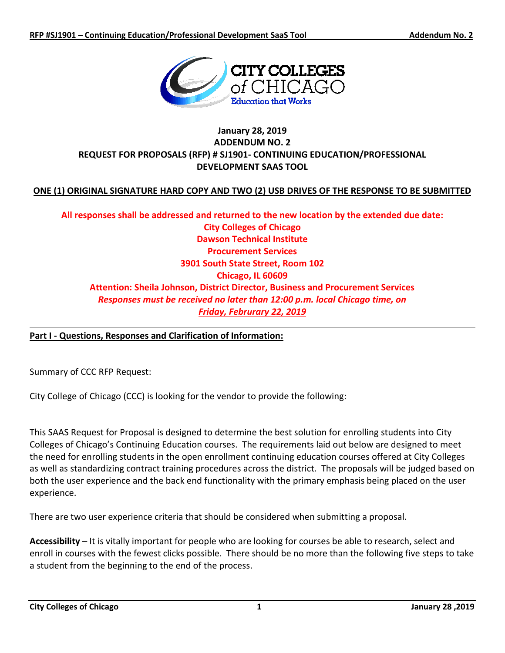

# **January 28, 2019 ADDENDUM NO. 2 REQUEST FOR PROPOSALS (RFP) # SJ1901- CONTINUING EDUCATION/PROFESSIONAL DEVELOPMENT SAAS TOOL**

# **ONE (1) ORIGINAL SIGNATURE HARD COPY AND TWO (2) USB DRIVES OF THE RESPONSE TO BE SUBMITTED**

**All responses shall be addressed and returned to the new location by the extended due date: City Colleges of Chicago Dawson Technical Institute Procurement Services 3901 South State Street, Room 102 Chicago, IL 60609 Attention: Sheila Johnson, District Director, Business and Procurement Services** *Responses must be received no later than 12:00 p.m. local Chicago time, on Friday, Februrary 22, 2019*

**Part I - Questions, Responses and Clarification of Information:**

Summary of CCC RFP Request:

City College of Chicago (CCC) is looking for the vendor to provide the following:

This SAAS Request for Proposal is designed to determine the best solution for enrolling students into City Colleges of Chicago's Continuing Education courses. The requirements laid out below are designed to meet the need for enrolling students in the open enrollment continuing education courses offered at City Colleges as well as standardizing contract training procedures across the district. The proposals will be judged based on both the user experience and the back end functionality with the primary emphasis being placed on the user experience.

There are two user experience criteria that should be considered when submitting a proposal.

**Accessibility** – It is vitally important for people who are looking for courses be able to research, select and enroll in courses with the fewest clicks possible. There should be no more than the following five steps to take a student from the beginning to the end of the process.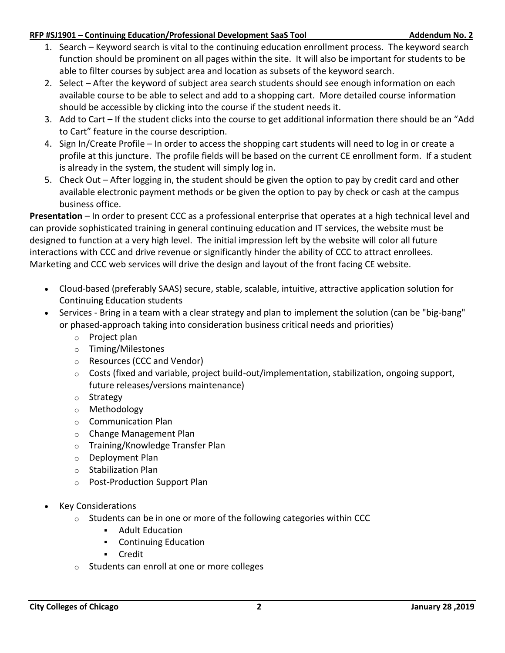- 1. Search Keyword search is vital to the continuing education enrollment process. The keyword search function should be prominent on all pages within the site. It will also be important for students to be able to filter courses by subject area and location as subsets of the keyword search.
- 2. Select After the keyword of subject area search students should see enough information on each available course to be able to select and add to a shopping cart. More detailed course information should be accessible by clicking into the course if the student needs it.
- 3. Add to Cart If the student clicks into the course to get additional information there should be an "Add to Cart" feature in the course description.
- 4. Sign In/Create Profile In order to access the shopping cart students will need to log in or create a profile at this juncture. The profile fields will be based on the current CE enrollment form. If a student is already in the system, the student will simply log in.
- 5. Check Out After logging in, the student should be given the option to pay by credit card and other available electronic payment methods or be given the option to pay by check or cash at the campus business office.

**Presentation** – In order to present CCC as a professional enterprise that operates at a high technical level and can provide sophisticated training in general continuing education and IT services, the website must be designed to function at a very high level. The initial impression left by the website will color all future interactions with CCC and drive revenue or significantly hinder the ability of CCC to attract enrollees. Marketing and CCC web services will drive the design and layout of the front facing CE website.

- Cloud-based (preferably SAAS) secure, stable, scalable, intuitive, attractive application solution for Continuing Education students
- Services Bring in a team with a clear strategy and plan to implement the solution (can be "big-bang" or phased-approach taking into consideration business critical needs and priorities)
	- o Project plan
	- o Timing/Milestones
	- o Resources (CCC and Vendor)
	- $\circ$  Costs (fixed and variable, project build-out/implementation, stabilization, ongoing support, future releases/versions maintenance)
	- o Strategy
	- o Methodology
	- o Communication Plan
	- o Change Management Plan
	- o Training/Knowledge Transfer Plan
	- o Deployment Plan
	- o Stabilization Plan
	- o Post-Production Support Plan
- Key Considerations
	- $\circ$  Students can be in one or more of the following categories within CCC
		- **Adult Education**
		- **Continuing Education**
		- Credit
	- o Students can enroll at one or more colleges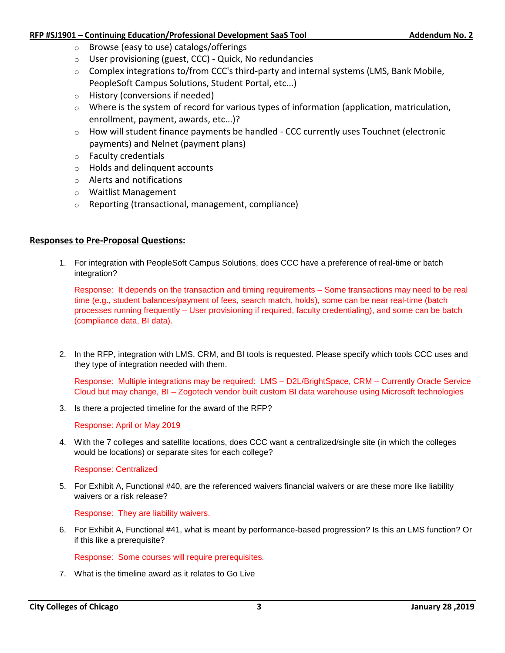- o Browse (easy to use) catalogs/offerings
- o User provisioning (guest, CCC) Quick, No redundancies
- $\circ$  Complex integrations to/from CCC's third-party and internal systems (LMS, Bank Mobile, PeopleSoft Campus Solutions, Student Portal, etc...)
- o History (conversions if needed)
- $\circ$  Where is the system of record for various types of information (application, matriculation, enrollment, payment, awards, etc...)?
- o How will student finance payments be handled CCC currently uses Touchnet (electronic payments) and Nelnet (payment plans)
- o Faculty credentials
- o Holds and delinquent accounts
- o Alerts and notifications
- o Waitlist Management
- o Reporting (transactional, management, compliance)

## **Responses to Pre-Proposal Questions:**

1. For integration with PeopleSoft Campus Solutions, does CCC have a preference of real-time or batch integration?

Response: It depends on the transaction and timing requirements – Some transactions may need to be real time (e.g., student balances/payment of fees, search match, holds), some can be near real-time (batch processes running frequently – User provisioning if required, faculty credentialing), and some can be batch (compliance data, BI data).

2. In the RFP, integration with LMS, CRM, and BI tools is requested. Please specify which tools CCC uses and they type of integration needed with them.

Response: Multiple integrations may be required: LMS – D2L/BrightSpace, CRM – Currently Oracle Service Cloud but may change, BI – Zogotech vendor built custom BI data warehouse using Microsoft technologies

3. Is there a projected timeline for the award of the RFP?

Response: April or May 2019

4. With the 7 colleges and satellite locations, does CCC want a centralized/single site (in which the colleges would be locations) or separate sites for each college?

Response: Centralized

5. For Exhibit A, Functional #40, are the referenced waivers financial waivers or are these more like liability waivers or a risk release?

Response: They are liability waivers.

6. For Exhibit A, Functional #41, what is meant by performance-based progression? Is this an LMS function? Or if this like a prerequisite?

Response: Some courses will require prerequisites.

7. What is the timeline award as it relates to Go Live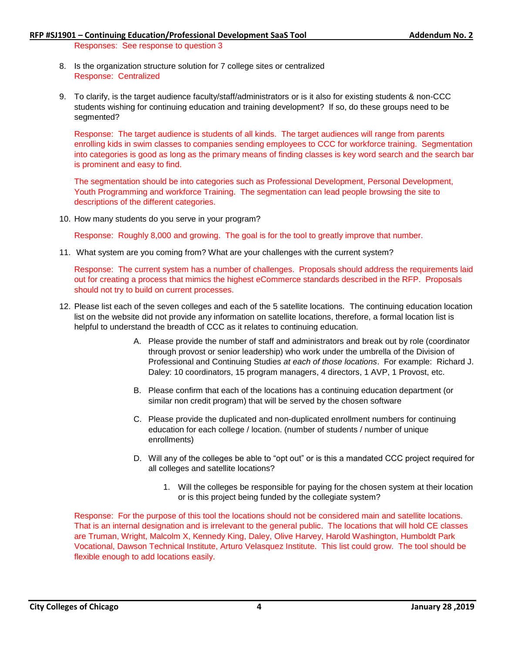Responses: See response to question 3

- 8. Is the organization structure solution for 7 college sites or centralized Response: Centralized
- 9. To clarify, is the target audience faculty/staff/administrators or is it also for existing students & non-CCC students wishing for continuing education and training development? If so, do these groups need to be segmented?

Response: The target audience is students of all kinds. The target audiences will range from parents enrolling kids in swim classes to companies sending employees to CCC for workforce training. Segmentation into categories is good as long as the primary means of finding classes is key word search and the search bar is prominent and easy to find.

The segmentation should be into categories such as Professional Development, Personal Development, Youth Programming and workforce Training. The segmentation can lead people browsing the site to descriptions of the different categories.

10. How many students do you serve in your program?

Response: Roughly 8,000 and growing. The goal is for the tool to greatly improve that number.

11. What system are you coming from? What are your challenges with the current system?

Response: The current system has a number of challenges. Proposals should address the requirements laid out for creating a process that mimics the highest eCommerce standards described in the RFP. Proposals should not try to build on current processes.

- 12. Please list each of the seven colleges and each of the 5 satellite locations. The continuing education location list on the website did not provide any information on satellite locations, therefore, a formal location list is helpful to understand the breadth of CCC as it relates to continuing education.
	- A. Please provide the number of staff and administrators and break out by role (coordinator through provost or senior leadership) who work under the umbrella of the Division of Professional and Continuing Studies *at each of those locations*. For example: Richard J. Daley: 10 coordinators, 15 program managers, 4 directors, 1 AVP, 1 Provost, etc.
	- B. Please confirm that each of the locations has a continuing education department (or similar non credit program) that will be served by the chosen software
	- C. Please provide the duplicated and non-duplicated enrollment numbers for continuing education for each college / location. (number of students / number of unique enrollments)
	- D. Will any of the colleges be able to "opt out" or is this a mandated CCC project required for all colleges and satellite locations?
		- 1. Will the colleges be responsible for paying for the chosen system at their location or is this project being funded by the collegiate system?

Response: For the purpose of this tool the locations should not be considered main and satellite locations. That is an internal designation and is irrelevant to the general public. The locations that will hold CE classes are Truman, Wright, Malcolm X, Kennedy King, Daley, Olive Harvey, Harold Washington, Humboldt Park Vocational, Dawson Technical Institute, Arturo Velasquez Institute. This list could grow. The tool should be flexible enough to add locations easily.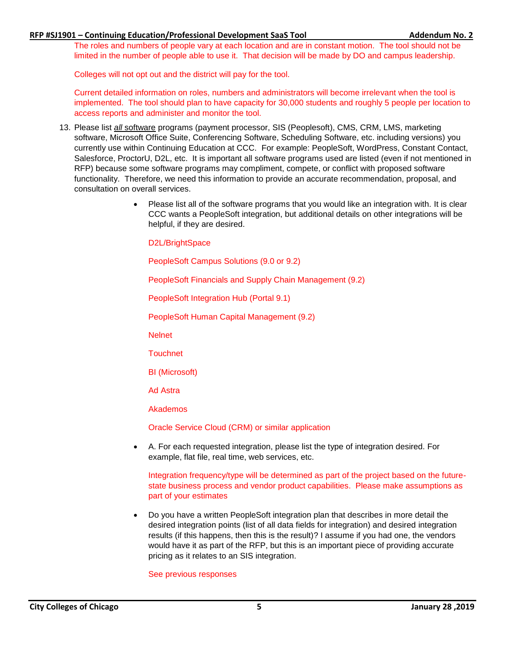The roles and numbers of people vary at each location and are in constant motion. The tool should not be limited in the number of people able to use it. That decision will be made by DO and campus leadership.

Colleges will not opt out and the district will pay for the tool.

Current detailed information on roles, numbers and administrators will become irrelevant when the tool is implemented. The tool should plan to have capacity for 30,000 students and roughly 5 people per location to access reports and administer and monitor the tool.

- 13. Please list *all* software programs (payment processor, SIS (Peoplesoft), CMS, CRM, LMS, marketing software, Microsoft Office Suite, Conferencing Software, Scheduling Software, etc. including versions) you currently use within Continuing Education at CCC. For example: PeopleSoft, WordPress, Constant Contact, Salesforce, ProctorU, D2L, etc. It is important all software programs used are listed (even if not mentioned in RFP) because some software programs may compliment, compete, or conflict with proposed software functionality. Therefore, we need this information to provide an accurate recommendation, proposal, and consultation on overall services.
	- Please list all of the software programs that you would like an integration with. It is clear CCC wants a PeopleSoft integration, but additional details on other integrations will be helpful, if they are desired.

D2L/BrightSpace

PeopleSoft Campus Solutions (9.0 or 9.2)

PeopleSoft Financials and Supply Chain Management (9.2)

PeopleSoft Integration Hub (Portal 9.1)

PeopleSoft Human Capital Management (9.2)

Nelnet

**Touchnet** 

BI (Microsoft)

Ad Astra

Akademos

Oracle Service Cloud (CRM) or similar application

 A. For each requested integration, please list the type of integration desired. For example, flat file, real time, web services, etc.

Integration frequency/type will be determined as part of the project based on the futurestate business process and vendor product capabilities. Please make assumptions as part of your estimates

 Do you have a written PeopleSoft integration plan that describes in more detail the desired integration points (list of all data fields for integration) and desired integration results (if this happens, then this is the result)? I assume if you had one, the vendors would have it as part of the RFP, but this is an important piece of providing accurate pricing as it relates to an SIS integration.

See previous responses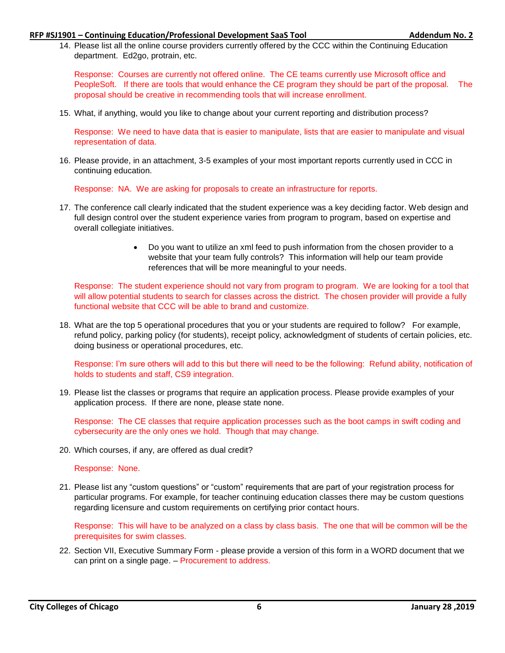14. Please list all the online course providers currently offered by the CCC within the Continuing Education department. Ed2go, protrain, etc.

Response: Courses are currently not offered online. The CE teams currently use Microsoft office and PeopleSoft. If there are tools that would enhance the CE program they should be part of the proposal. The proposal should be creative in recommending tools that will increase enrollment.

15. What, if anything, would you like to change about your current reporting and distribution process?

Response: We need to have data that is easier to manipulate, lists that are easier to manipulate and visual representation of data.

16. Please provide, in an attachment, 3-5 examples of your most important reports currently used in CCC in continuing education.

Response: NA. We are asking for proposals to create an infrastructure for reports.

- 17. The conference call clearly indicated that the student experience was a key deciding factor. Web design and full design control over the student experience varies from program to program, based on expertise and overall collegiate initiatives.
	- Do you want to utilize an xml feed to push information from the chosen provider to a website that your team fully controls? This information will help our team provide references that will be more meaningful to your needs.

Response: The student experience should not vary from program to program. We are looking for a tool that will allow potential students to search for classes across the district. The chosen provider will provide a fully functional website that CCC will be able to brand and customize.

18. What are the top 5 operational procedures that you or your students are required to follow? For example, refund policy, parking policy (for students), receipt policy, acknowledgment of students of certain policies, etc. doing business or operational procedures, etc.

Response: I'm sure others will add to this but there will need to be the following: Refund ability, notification of holds to students and staff, CS9 integration.

19. Please list the classes or programs that require an application process. Please provide examples of your application process. If there are none, please state none.

Response: The CE classes that require application processes such as the boot camps in swift coding and cybersecurity are the only ones we hold. Though that may change.

20. Which courses, if any, are offered as dual credit?

Response: None.

21. Please list any "custom questions" or "custom" requirements that are part of your registration process for particular programs. For example, for teacher continuing education classes there may be custom questions regarding licensure and custom requirements on certifying prior contact hours.

Response: This will have to be analyzed on a class by class basis. The one that will be common will be the prerequisites for swim classes.

22. Section VII, Executive Summary Form - please provide a version of this form in a WORD document that we can print on a single page. – Procurement to address.